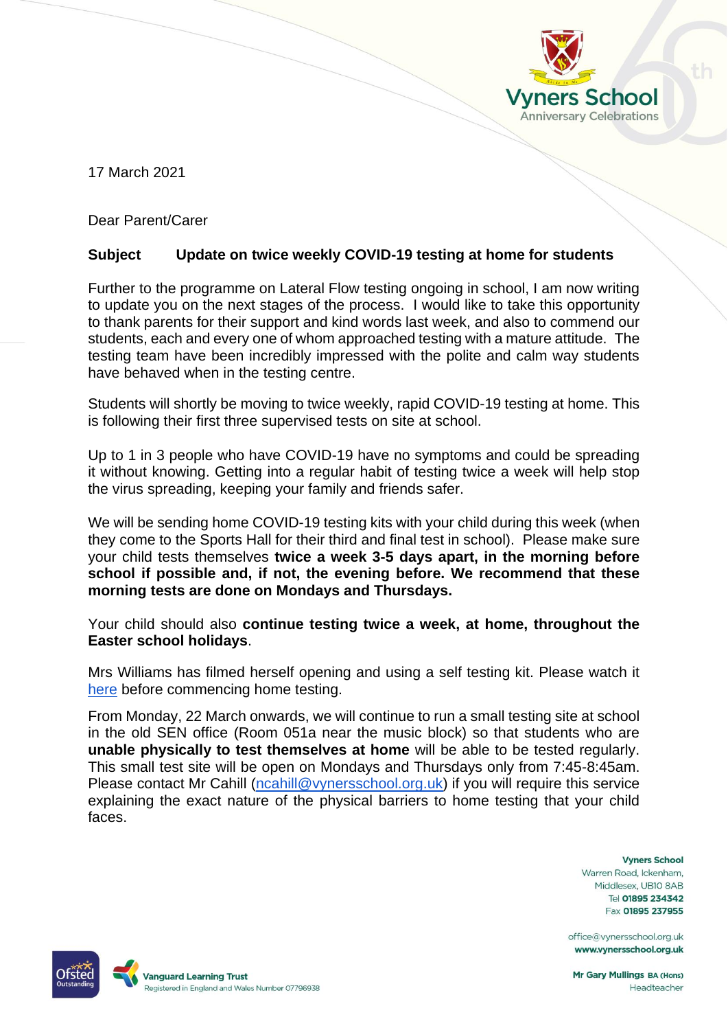

17 March 2021

Dear Parent/Carer

## **Subject Update on twice weekly COVID-19 testing at home for students**

Further to the programme on Lateral Flow testing ongoing in school, I am now writing to update you on the next stages of the process. I would like to take this opportunity to thank parents for their support and kind words last week, and also to commend our students, each and every one of whom approached testing with a mature attitude. The testing team have been incredibly impressed with the polite and calm way students have behaved when in the testing centre.

Students will shortly be moving to twice weekly, rapid COVID-19 testing at home. This is following their first three supervised tests on site at school.

Up to 1 in 3 people who have COVID-19 have no symptoms and could be spreading it without knowing. Getting into a regular habit of testing twice a week will help stop the virus spreading, keeping your family and friends safer.

We will be sending home COVID-19 testing kits with your child during this week (when they come to the Sports Hall for their third and final test in school). Please make sure your child tests themselves **twice a week 3-5 days apart, in the morning before school if possible and, if not, the evening before. We recommend that these morning tests are done on Mondays and Thursdays.**

Your child should also **continue testing twice a week, at home, throughout the Easter school holidays**.

Mrs Williams has filmed herself opening and using a self testing kit. Please watch it [here](https://drive.google.com/file/d/1bEgaw1ZDJMVgwrGtdiauKPDzVwVjwDhp/view?usp=sharing) before commencing home testing.

From Monday, 22 March onwards, we will continue to run a small testing site at school in the old SEN office (Room 051a near the music block) so that students who are **unable physically to test themselves at home** will be able to be tested regularly. This small test site will be open on Mondays and Thursdays only from 7:45-8:45am. Please contact Mr Cahill [\(ncahill@vynersschool.org.uk\)](mailto:ncahill@vynersschool.org.uk) if you will require this service explaining the exact nature of the physical barriers to home testing that your child faces.

> **Vyners School** Warren Road, Ickenham, Middlesex, UB10 8AB Tel 01895 234342 Fax 01895 237955

office@vynersschool.org.uk www.vynersschool.org.uk



Mr Gary Mullings BA (Hons) Headteacher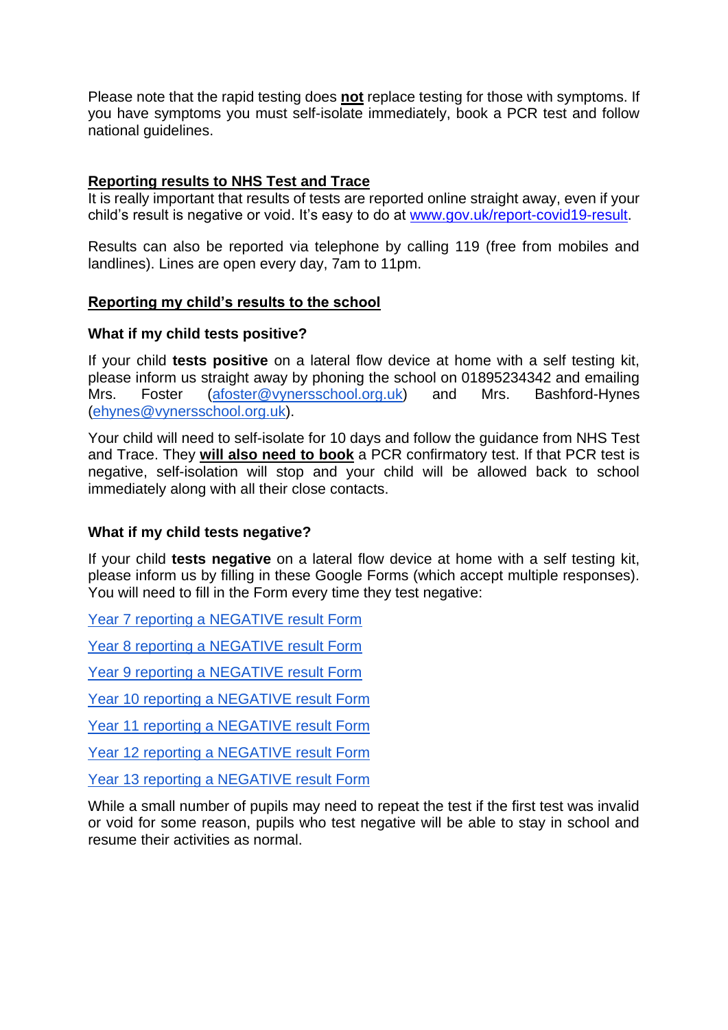Please note that the rapid testing does **not** replace testing for those with symptoms. If you have symptoms you must self-isolate immediately, book a PCR test and follow national guidelines.

# **Reporting results to NHS Test and Trace**

It is really important that results of tests are reported online straight away, even if your child's result is negative or void. It's easy to do at [www.gov.uk/report-covid19-result.](http://www.gov.uk/report-covid19-result)

Results can also be reported via telephone by calling 119 (free from mobiles and landlines). Lines are open every day, 7am to 11pm.

### **Reporting my child's results to the school**

#### **What if my child tests positive?**

If your child **tests positive** on a lateral flow device at home with a self testing kit, please inform us straight away by phoning the school on 01895234342 and emailing Mrs. Foster [\(afoster@vynersschool.org.uk\)](mailto:afoster@vynersschool.org.uk) and Mrs. Bashford-Hynes [\(ehynes@vynersschool.org.uk\)](mailto:ehynes@vynersschool.org.uk).

Your child will need to self-isolate for 10 days and follow the guidance from NHS Test and Trace. They **will also need to book** a PCR confirmatory test. If that PCR test is negative, self-isolation will stop and your child will be allowed back to school immediately along with all their close contacts.

### **What if my child tests negative?**

If your child **tests negative** on a lateral flow device at home with a self testing kit, please inform us by filling in these Google Forms (which accept multiple responses). You will need to fill in the Form every time they test negative:

[Year 7 reporting a NEGATIVE result Form](https://docs.google.com/forms/d/e/1FAIpQLScviVmVisZffTZxLUdiBOi3-2SG2vNfQMMKa1O1NNZAxt2v1g/viewform?usp=sf_link)

[Year 8 reporting a NEGATIVE result Form](https://docs.google.com/forms/d/e/1FAIpQLSe7tsntBphnoZIGpQwpDx4urtcawaxMYiGS2Mx2VczzFAhD_Q/viewform?usp=sf_link)

[Year 9 reporting a NEGATIVE result Form](https://docs.google.com/forms/d/e/1FAIpQLScMdgzZ1g2NOBCq-1qkI3lXWLXPhbUl1vt0WUSJKu3EjkobFg/viewform?usp=sf_link)

[Year 10 reporting a NEGATIVE result Form](https://docs.google.com/forms/d/e/1FAIpQLSe6tHeKM71DRPBU3x1lp7ShHkXnEpX0AJOzZZ6jjb_HxBgvXA/viewform?usp=sf_link)

[Year 11 reporting a NEGATIVE result Form](https://docs.google.com/forms/d/e/1FAIpQLSeJ0tJLGnsKVHNSg_KVoiI4mbsez7mEUi3NCu31mZNBJlpSbw/viewform?usp=sf_link)

[Year 12 reporting a NEGATIVE result Form](https://docs.google.com/forms/d/e/1FAIpQLSerFW45G8rB4m5VEZfn4N_IJry-dqcRauMgFb-3LqG0_vlSyg/viewform?usp=sf_link)

[Year 13 reporting a NEGATIVE result Form](https://docs.google.com/forms/d/e/1FAIpQLSfpUWARjQGzY07Rt3LdSpzLumxU2YsyFTOv5p9sIAXFEiGwGw/viewform?usp=sf_link)

While a small number of pupils may need to repeat the test if the first test was invalid or void for some reason, pupils who test negative will be able to stay in school and resume their activities as normal.